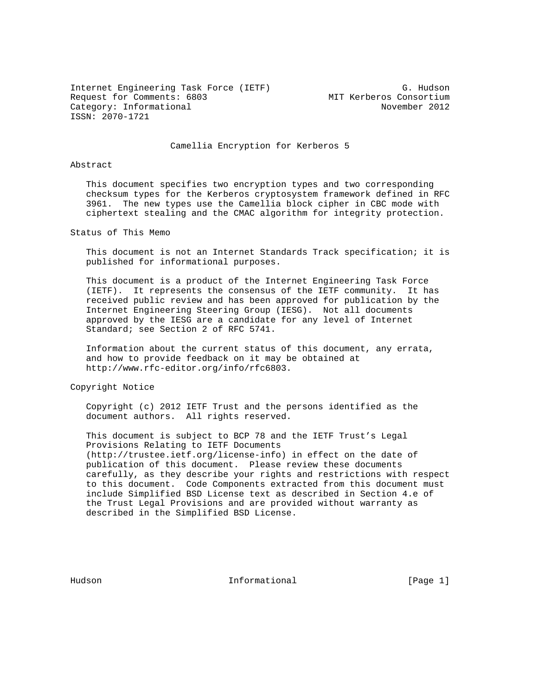Internet Engineering Task Force (IETF) G. Hudson Request for Comments: 6803 MIT Kerberos Consortium Category: Informational November 2012 ISSN: 2070-1721

Camellia Encryption for Kerberos 5

## Abstract

 This document specifies two encryption types and two corresponding checksum types for the Kerberos cryptosystem framework defined in RFC 3961. The new types use the Camellia block cipher in CBC mode with ciphertext stealing and the CMAC algorithm for integrity protection.

Status of This Memo

 This document is not an Internet Standards Track specification; it is published for informational purposes.

 This document is a product of the Internet Engineering Task Force (IETF). It represents the consensus of the IETF community. It has received public review and has been approved for publication by the Internet Engineering Steering Group (IESG). Not all documents approved by the IESG are a candidate for any level of Internet Standard; see Section 2 of RFC 5741.

 Information about the current status of this document, any errata, and how to provide feedback on it may be obtained at http://www.rfc-editor.org/info/rfc6803.

Copyright Notice

 Copyright (c) 2012 IETF Trust and the persons identified as the document authors. All rights reserved.

 This document is subject to BCP 78 and the IETF Trust's Legal Provisions Relating to IETF Documents (http://trustee.ietf.org/license-info) in effect on the date of publication of this document. Please review these documents carefully, as they describe your rights and restrictions with respect to this document. Code Components extracted from this document must include Simplified BSD License text as described in Section 4.e of the Trust Legal Provisions and are provided without warranty as described in the Simplified BSD License.

Hudson **Informational Informational** [Page 1]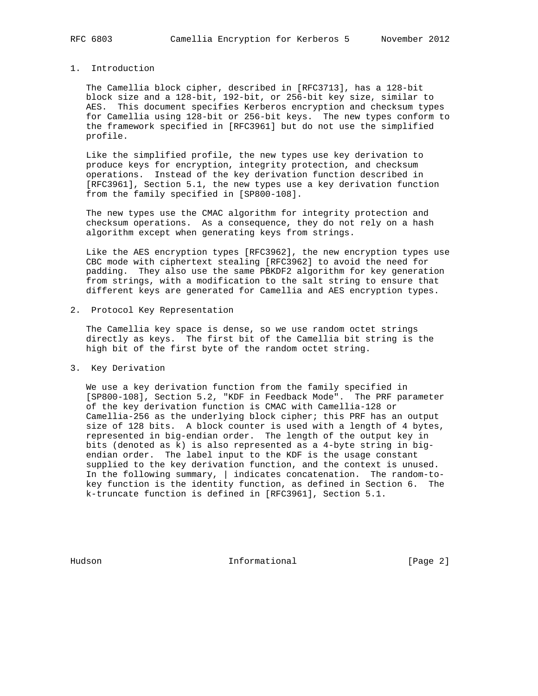## 1. Introduction

 The Camellia block cipher, described in [RFC3713], has a 128-bit block size and a 128-bit, 192-bit, or 256-bit key size, similar to AES. This document specifies Kerberos encryption and checksum types for Camellia using 128-bit or 256-bit keys. The new types conform to the framework specified in [RFC3961] but do not use the simplified profile.

 Like the simplified profile, the new types use key derivation to produce keys for encryption, integrity protection, and checksum operations. Instead of the key derivation function described in [RFC3961], Section 5.1, the new types use a key derivation function from the family specified in [SP800-108].

 The new types use the CMAC algorithm for integrity protection and checksum operations. As a consequence, they do not rely on a hash algorithm except when generating keys from strings.

 Like the AES encryption types [RFC3962], the new encryption types use CBC mode with ciphertext stealing [RFC3962] to avoid the need for padding. They also use the same PBKDF2 algorithm for key generation from strings, with a modification to the salt string to ensure that different keys are generated for Camellia and AES encryption types.

2. Protocol Key Representation

 The Camellia key space is dense, so we use random octet strings directly as keys. The first bit of the Camellia bit string is the high bit of the first byte of the random octet string.

3. Key Derivation

 We use a key derivation function from the family specified in [SP800-108], Section 5.2, "KDF in Feedback Mode". The PRF parameter of the key derivation function is CMAC with Camellia-128 or Camellia-256 as the underlying block cipher; this PRF has an output size of 128 bits. A block counter is used with a length of 4 bytes, represented in big-endian order. The length of the output key in bits (denoted as k) is also represented as a 4-byte string in big endian order. The label input to the KDF is the usage constant supplied to the key derivation function, and the context is unused. In the following summary, | indicates concatenation. The random-to key function is the identity function, as defined in Section 6. The k-truncate function is defined in [RFC3961], Section 5.1.

Hudson **Informational Informational** [Page 2]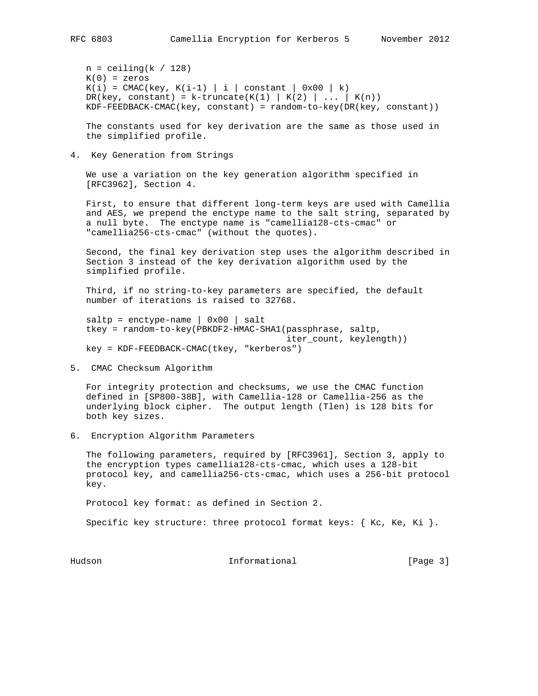$n =$  ceiling( $k / 128$ )  $K(0) =$  zeros  $K(i) = CMAC(key, K(i-1) | i | constant | 0x00 | k)$ DR(key, constant) = k-truncate(K(1) | K(2) | ... | K(n)) KDF-FEEDBACK-CMAC(key, constant) = random-to-key(DR(key, constant))

 The constants used for key derivation are the same as those used in the simplified profile.

4. Key Generation from Strings

 We use a variation on the key generation algorithm specified in [RFC3962], Section 4.

 First, to ensure that different long-term keys are used with Camellia and AES, we prepend the enctype name to the salt string, separated by a null byte. The enctype name is "camellia128-cts-cmac" or "camellia256-cts-cmac" (without the quotes).

 Second, the final key derivation step uses the algorithm described in Section 3 instead of the key derivation algorithm used by the simplified profile.

 Third, if no string-to-key parameters are specified, the default number of iterations is raised to 32768.

 $saltp = enctype-name \mid 0x00 \mid salt$  tkey = random-to-key(PBKDF2-HMAC-SHA1(passphrase, saltp, iter\_count, keylength)) key = KDF-FEEDBACK-CMAC(tkey, "kerberos")

5. CMAC Checksum Algorithm

 For integrity protection and checksums, we use the CMAC function defined in [SP800-38B], with Camellia-128 or Camellia-256 as the underlying block cipher. The output length (Tlen) is 128 bits for both key sizes.

6. Encryption Algorithm Parameters

 The following parameters, required by [RFC3961], Section 3, apply to the encryption types camellia128-cts-cmac, which uses a 128-bit protocol key, and camellia256-cts-cmac, which uses a 256-bit protocol key.

Protocol key format: as defined in Section 2.

Specific key structure: three protocol format keys:  $\{$  Kc, Ke, Ki  $\}$ .

Hudson **Informational Informational** [Page 3]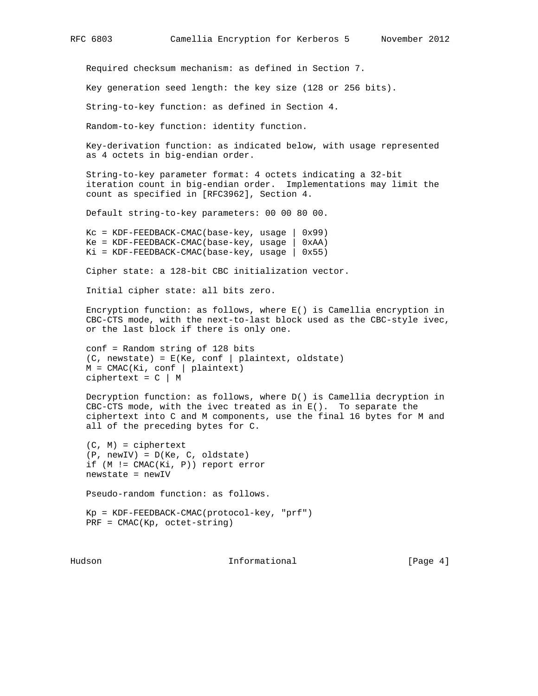Required checksum mechanism: as defined in Section 7.

Key generation seed length: the key size (128 or 256 bits).

String-to-key function: as defined in Section 4.

Random-to-key function: identity function.

 Key-derivation function: as indicated below, with usage represented as 4 octets in big-endian order.

 String-to-key parameter format: 4 octets indicating a 32-bit iteration count in big-endian order. Implementations may limit the count as specified in [RFC3962], Section 4.

Default string-to-key parameters: 00 00 80 00.

 $KC = KDF - FEEDBACK-CMAC(base-key, usage | 0x99)$  Ke = KDF-FEEDBACK-CMAC(base-key, usage | 0xAA)  $Ki = KDF - FEEDBACK - CMAC(base - key, usage | 0x55)$ 

Cipher state: a 128-bit CBC initialization vector.

Initial cipher state: all bits zero.

 Encryption function: as follows, where E() is Camellia encryption in CBC-CTS mode, with the next-to-last block used as the CBC-style ivec, or the last block if there is only one.

 conf = Random string of 128 bits  $(C, newstate) = E(Ke, conf | plaintext, oldstate)$  M = CMAC(Ki, conf | plaintext) ciphertext =  $C$  | M

 Decryption function: as follows, where D() is Camellia decryption in CBC-CTS mode, with the ivec treated as in  $E()$ . To separate the ciphertext into C and M components, use the final 16 bytes for M and all of the preceding bytes for C.

 (C, M) = ciphertext (P, newIV) = D(Ke, C, oldstate) if (M != CMAC(Ki, P)) report error newstate = newIV

Pseudo-random function: as follows.

 Kp = KDF-FEEDBACK-CMAC(protocol-key, "prf") PRF = CMAC(Kp, octet-string)

Hudson **Informational Informational** [Page 4]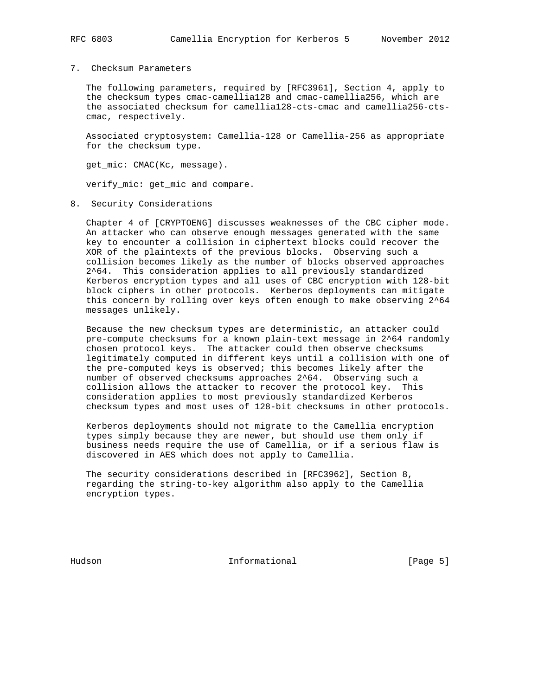#### 7. Checksum Parameters

 The following parameters, required by [RFC3961], Section 4, apply to the checksum types cmac-camellia128 and cmac-camellia256, which are the associated checksum for camellia128-cts-cmac and camellia256-cts cmac, respectively.

 Associated cryptosystem: Camellia-128 or Camellia-256 as appropriate for the checksum type.

get\_mic: CMAC(Kc, message).

verify\_mic: get\_mic and compare.

8. Security Considerations

 Chapter 4 of [CRYPTOENG] discusses weaknesses of the CBC cipher mode. An attacker who can observe enough messages generated with the same key to encounter a collision in ciphertext blocks could recover the XOR of the plaintexts of the previous blocks. Observing such a collision becomes likely as the number of blocks observed approaches 2^64. This consideration applies to all previously standardized Kerberos encryption types and all uses of CBC encryption with 128-bit block ciphers in other protocols. Kerberos deployments can mitigate this concern by rolling over keys often enough to make observing 2^64 messages unlikely.

 Because the new checksum types are deterministic, an attacker could pre-compute checksums for a known plain-text message in 2^64 randomly chosen protocol keys. The attacker could then observe checksums legitimately computed in different keys until a collision with one of the pre-computed keys is observed; this becomes likely after the number of observed checksums approaches 2^64. Observing such a collision allows the attacker to recover the protocol key. This consideration applies to most previously standardized Kerberos checksum types and most uses of 128-bit checksums in other protocols.

 Kerberos deployments should not migrate to the Camellia encryption types simply because they are newer, but should use them only if business needs require the use of Camellia, or if a serious flaw is discovered in AES which does not apply to Camellia.

 The security considerations described in [RFC3962], Section 8, regarding the string-to-key algorithm also apply to the Camellia encryption types.

Hudson **Informational Informational** [Page 5]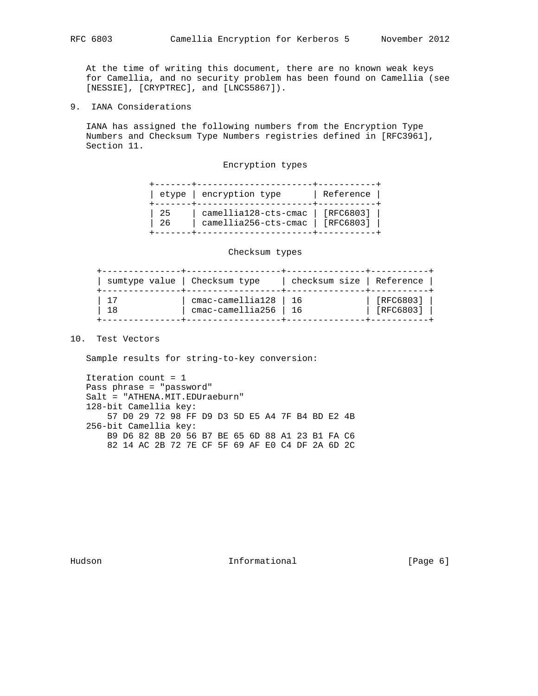At the time of writing this document, there are no known weak keys for Camellia, and no security problem has been found on Camellia (see [NESSIE], [CRYPTREC], and [LNCS5867]).

9. IANA Considerations

 IANA has assigned the following numbers from the Encryption Type Numbers and Checksum Type Numbers registries defined in [RFC3961], Section 11.

### Encryption types

|           | etype   encryption type                                    | Reference |
|-----------|------------------------------------------------------------|-----------|
| -25<br>26 | $camellial28 -cts -cmac$ [RFC6803]<br>camellia256-cts-cmac | [RFC6803] |

#### Checksum types

| sumtype value   Checksum type |                          | checksum size   Reference |             |
|-------------------------------|--------------------------|---------------------------|-------------|
|                               | $cmac$ -camellia128   16 |                           | [RFC6803]   |
| 1 R                           | $cmac$ -camellia256 $ $  | - 16                      | $[RFC6803]$ |

# 10. Test Vectors

Sample results for string-to-key conversion:

 Iteration count = 1 Pass phrase = "password" Salt = "ATHENA.MIT.EDUraeburn" 128-bit Camellia key: 57 D0 29 72 98 FF D9 D3 5D E5 A4 7F B4 BD E2 4B 256-bit Camellia key: B9 D6 82 8B 20 56 B7 BE 65 6D 88 A1 23 B1 FA C6 82 14 AC 2B 72 7E CF 5F 69 AF E0 C4 DF 2A 6D 2C

Hudson **Informational Informational** [Page 6]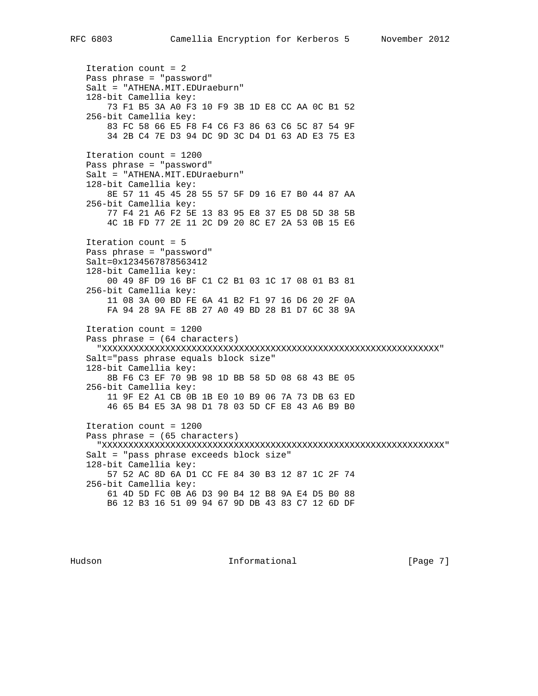Iteration count = 2 Pass phrase = "password" Salt = "ATHENA.MIT.EDUraeburn" 128-bit Camellia key: 73 F1 B5 3A A0 F3 10 F9 3B 1D E8 CC AA 0C B1 52 256-bit Camellia key: 83 FC 58 66 E5 F8 F4 C6 F3 86 63 C6 5C 87 54 9F 34 2B C4 7E D3 94 DC 9D 3C D4 D1 63 AD E3 75 E3 Iteration count = 1200 Pass phrase = "password" Salt = "ATHENA.MIT.EDUraeburn" 128-bit Camellia key: 8E 57 11 45 45 28 55 57 5F D9 16 E7 B0 44 87 AA 256-bit Camellia key: 77 F4 21 A6 F2 5E 13 83 95 E8 37 E5 D8 5D 38 5B 4C 1B FD 77 2E 11 2C D9 20 8C E7 2A 53 0B 15 E6 Iteration count = 5 Pass phrase = "password" Salt=0x1234567878563412 128-bit Camellia key: 00 49 8F D9 16 BF C1 C2 B1 03 1C 17 08 01 B3 81 256-bit Camellia key: 11 08 3A 00 BD FE 6A 41 B2 F1 97 16 D6 20 2F 0A FA 94 28 9A FE 8B 27 A0 49 BD 28 B1 D7 6C 38 9A Iteration count = 1200 Pass phrase = (64 characters) "XXXXXXXXXXXXXXXXXXXXXXXXXXXXXXXXXXXXXXXXXXXXXXXXXXXXXXXXXXXXXXXX" Salt="pass phrase equals block size" 128-bit Camellia key: 8B F6 C3 EF 70 9B 98 1D BB 58 5D 08 68 43 BE 05 256-bit Camellia key: 11 9F E2 A1 CB 0B 1B E0 10 B9 06 7A 73 DB 63 ED 46 65 B4 E5 3A 98 D1 78 03 5D CF E8 43 A6 B9 B0 Iteration count = 1200 Pass phrase = (65 characters) "XXXXXXXXXXXXXXXXXXXXXXXXXXXXXXXXXXXXXXXXXXXXXXXXXXXXXXXXXXXXXXXXX" Salt = "pass phrase exceeds block size" 128-bit Camellia key: 57 52 AC 8D 6A D1 CC FE 84 30 B3 12 87 1C 2F 74 256-bit Camellia key: 61 4D 5D FC 0B A6 D3 90 B4 12 B8 9A E4 D5 B0 88 B6 12 B3 16 51 09 94 67 9D DB 43 83 C7 12 6D DF

Hudson **Informational Informational Informational** [Page 7]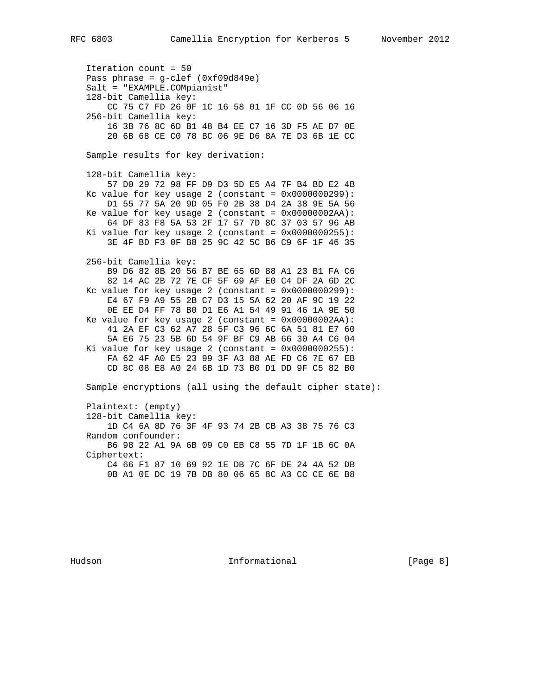Iteration count = 50 Pass phrase = g-clef (0xf09d849e) Salt = "EXAMPLE.COMpianist" 128-bit Camellia key: CC 75 C7 FD 26 0F 1C 16 58 01 1F CC 0D 56 06 16 256-bit Camellia key: 16 3B 76 8C 6D B1 48 B4 EE C7 16 3D F5 AE D7 0E 20 6B 68 CE C0 78 BC 06 9E D6 8A 7E D3 6B 1E CC Sample results for key derivation: 128-bit Camellia key: 57 D0 29 72 98 FF D9 D3 5D E5 A4 7F B4 BD E2 4B Kc value for key usage  $2$  (constant =  $0x0000000299$ ): D1 55 77 5A 20 9D 05 F0 2B 38 D4 2A 38 9E 5A 56 Ke value for key usage  $2$  (constant =  $0x00000002AA$ ): 64 DF 83 F8 5A 53 2F 17 57 7D 8C 37 03 57 96 AB Ki value for key usage  $2$  (constant =  $0 \times 00000000255$ ): 3E 4F BD F3 0F B8 25 9C 42 5C B6 C9 6F 1F 46 35 256-bit Camellia key: B9 D6 82 8B 20 56 B7 BE 65 6D 88 A1 23 B1 FA C6 82 14 AC 2B 72 7E CF 5F 69 AF E0 C4 DF 2A 6D 2C Kc value for key usage  $2$  (constant =  $0x0000000299$ ): E4 67 F9 A9 55 2B C7 D3 15 5A 62 20 AF 9C 19 22 0E EE D4 FF 78 B0 D1 E6 A1 54 49 91 46 1A 9E 50 Ke value for key usage  $2$  (constant =  $0x00000002AA$ ): 41 2A EF C3 62 A7 28 5F C3 96 6C 6A 51 81 E7 60 5A E6 75 23 5B 6D 54 9F BF C9 AB 66 30 A4 C6 04 Ki value for key usage  $2$  (constant =  $0x0000000255$ ): FA 62 4F A0 E5 23 99 3F A3 88 AE FD C6 7E 67 EB CD 8C 08 E8 A0 24 6B 1D 73 B0 D1 DD 9F C5 82 B0 Sample encryptions (all using the default cipher state): Plaintext: (empty) 128-bit Camellia key: 1D C4 6A 8D 76 3F 4F 93 74 2B CB A3 38 75 76 C3 Random confounder: B6 98 22 A1 9A 6B 09 C0 EB C8 55 7D 1F 1B 6C 0A Ciphertext: C4 66 F1 87 10 69 92 1E DB 7C 6F DE 24 4A 52 DB 0B A1 0E DC 19 7B DB 80 06 65 8C A3 CC CE 6E B8

Hudson **Informational Informational Informational Example 1 Page 8**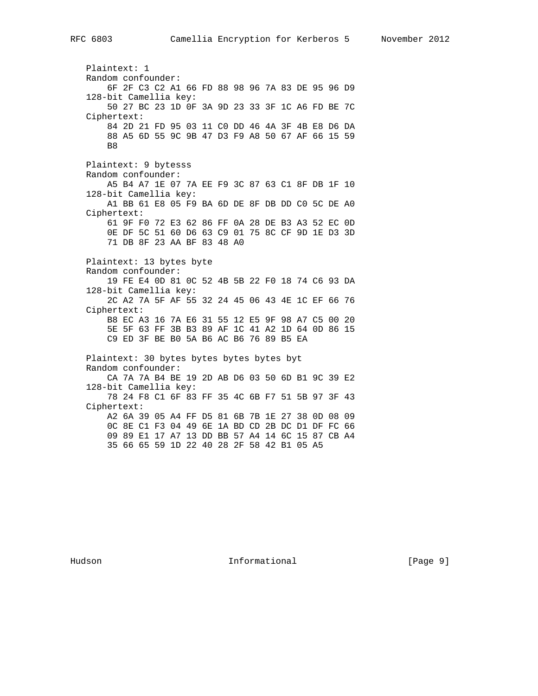Plaintext: 1 Random confounder: 6F 2F C3 C2 A1 66 FD 88 98 96 7A 83 DE 95 96 D9 128-bit Camellia key: 50 27 BC 23 1D 0F 3A 9D 23 33 3F 1C A6 FD BE 7C Ciphertext: 84 2D 21 FD 95 03 11 C0 DD 46 4A 3F 4B E8 D6 DA 88 A5 6D 55 9C 9B 47 D3 F9 A8 50 67 AF 66 15 59 B<sub>8</sub> Plaintext: 9 bytesss Random confounder: A5 B4 A7 1E 07 7A EE F9 3C 87 63 C1 8F DB 1F 10 128-bit Camellia key: A1 BB 61 E8 05 F9 BA 6D DE 8F DB DD C0 5C DE A0 Ciphertext: 61 9F F0 72 E3 62 86 FF 0A 28 DE B3 A3 52 EC 0D 0E DF 5C 51 60 D6 63 C9 01 75 8C CF 9D 1E D3 3D 71 DB 8F 23 AA BF 83 48 A0 Plaintext: 13 bytes byte Random confounder: 19 FE E4 0D 81 0C 52 4B 5B 22 F0 18 74 C6 93 DA 128-bit Camellia key: 2C A2 7A 5F AF 55 32 24 45 06 43 4E 1C EF 66 76 Ciphertext: B8 EC A3 16 7A E6 31 55 12 E5 9F 98 A7 C5 00 20 5E 5F 63 FF 3B B3 89 AF 1C 41 A2 1D 64 0D 86 15 C9 ED 3F BE B0 5A B6 AC B6 76 89 B5 EA Plaintext: 30 bytes bytes bytes bytes byt Random confounder: CA 7A 7A B4 BE 19 2D AB D6 03 50 6D B1 9C 39 E2 128-bit Camellia key: 78 24 F8 C1 6F 83 FF 35 4C 6B F7 51 5B 97 3F 43 Ciphertext: A2 6A 39 05 A4 FF D5 81 6B 7B 1E 27 38 0D 08 09 0C 8E C1 F3 04 49 6E 1A BD CD 2B DC D1 DF FC 66 09 89 E1 17 A7 13 DD BB 57 A4 14 6C 15 87 CB A4 35 66 65 59 1D 22 40 28 2F 58 42 B1 05 A5

Hudson **Informational Informational** [Page 9]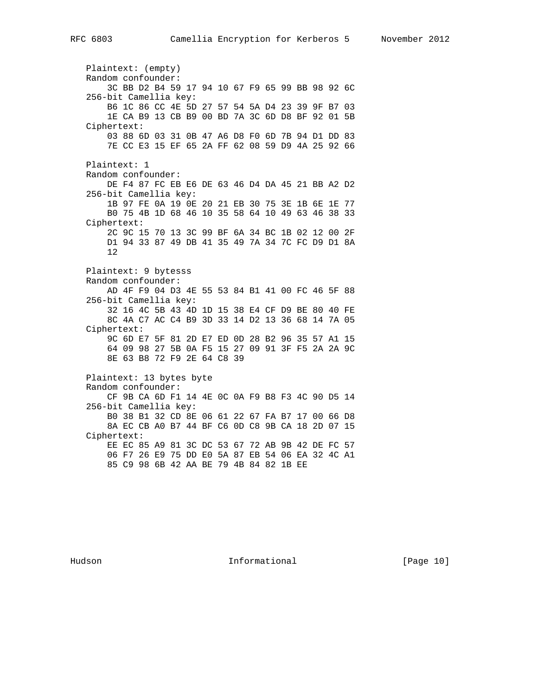Plaintext: (empty) Random confounder: 3C BB D2 B4 59 17 94 10 67 F9 65 99 BB 98 92 6C 256-bit Camellia key: B6 1C 86 CC 4E 5D 27 57 54 5A D4 23 39 9F B7 03 1E CA B9 13 CB B9 00 BD 7A 3C 6D D8 BF 92 01 5B Ciphertext: 03 88 6D 03 31 0B 47 A6 D8 F0 6D 7B 94 D1 DD 83 7E CC E3 15 EF 65 2A FF 62 08 59 D9 4A 25 92 66 Plaintext: 1 Random confounder: DE F4 87 FC EB E6 DE 63 46 D4 DA 45 21 BB A2 D2 256-bit Camellia key: 1B 97 FE 0A 19 0E 20 21 EB 30 75 3E 1B 6E 1E 77 B0 75 4B 1D 68 46 10 35 58 64 10 49 63 46 38 33 Ciphertext: 2C 9C 15 70 13 3C 99 BF 6A 34 BC 1B 02 12 00 2F D1 94 33 87 49 DB 41 35 49 7A 34 7C FC D9 D1 8A 12 Plaintext: 9 bytesss Random confounder: AD 4F F9 04 D3 4E 55 53 84 B1 41 00 FC 46 5F 88 256-bit Camellia key: 32 16 4C 5B 43 4D 1D 15 38 E4 CF D9 BE 80 40 FE 8C 4A C7 AC C4 B9 3D 33 14 D2 13 36 68 14 7A 05 Ciphertext: 9C 6D E7 5F 81 2D E7 ED 0D 28 B2 96 35 57 A1 15 64 09 98 27 5B 0A F5 15 27 09 91 3F F5 2A 2A 9C 8E 63 B8 72 F9 2E 64 C8 39 Plaintext: 13 bytes byte Random confounder: CF 9B CA 6D F1 14 4E 0C 0A F9 B8 F3 4C 90 D5 14 256-bit Camellia key: B0 38 B1 32 CD 8E 06 61 22 67 FA B7 17 00 66 D8 8A EC CB A0 B7 44 BF C6 0D C8 9B CA 18 2D 07 15 Ciphertext: EE EC 85 A9 81 3C DC 53 67 72 AB 9B 42 DE FC 57 06 F7 26 E9 75 DD E0 5A 87 EB 54 06 EA 32 4C A1 85 C9 98 6B 42 AA BE 79 4B 84 82 1B EE

Hudson **Informational Informational** [Page 10]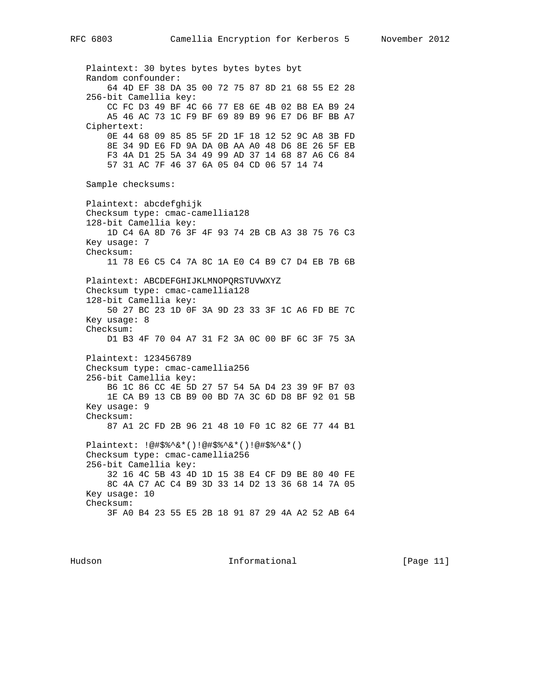Plaintext: 30 bytes bytes bytes bytes byt Random confounder: 64 4D EF 38 DA 35 00 72 75 87 8D 21 68 55 E2 28 256-bit Camellia key: CC FC D3 49 BF 4C 66 77 E8 6E 4B 02 B8 EA B9 24 A5 46 AC 73 1C F9 BF 69 89 B9 96 E7 D6 BF BB A7 Ciphertext: 0E 44 68 09 85 85 5F 2D 1F 18 12 52 9C A8 3B FD 8E 34 9D E6 FD 9A DA 0B AA A0 48 D6 8E 26 5F EB F3 4A D1 25 5A 34 49 99 AD 37 14 68 87 A6 C6 84 57 31 AC 7F 46 37 6A 05 04 CD 06 57 14 74 Sample checksums: Plaintext: abcdefghijk Checksum type: cmac-camellia128 128-bit Camellia key: 1D C4 6A 8D 76 3F 4F 93 74 2B CB A3 38 75 76 C3 Key usage: 7 Checksum: 11 78 E6 C5 C4 7A 8C 1A E0 C4 B9 C7 D4 EB 7B 6B Plaintext: ABCDEFGHIJKLMNOPQRSTUVWXYZ Checksum type: cmac-camellia128 128-bit Camellia key: 50 27 BC 23 1D 0F 3A 9D 23 33 3F 1C A6 FD BE 7C Key usage: 8 Checksum: D1 B3 4F 70 04 A7 31 F2 3A 0C 00 BF 6C 3F 75 3A Plaintext: 123456789 Checksum type: cmac-camellia256 256-bit Camellia key: B6 1C 86 CC 4E 5D 27 57 54 5A D4 23 39 9F B7 03 1E CA B9 13 CB B9 00 BD 7A 3C 6D D8 BF 92 01 5B Key usage: 9 Checksum: 87 A1 2C FD 2B 96 21 48 10 F0 1C 82 6E 77 44 B1 Plaintext: !@#\$%^&\*()!@#\$%^&\*()!@#\$%^&\*() Checksum type: cmac-camellia256 256-bit Camellia key: 32 16 4C 5B 43 4D 1D 15 38 E4 CF D9 BE 80 40 FE 8C 4A C7 AC C4 B9 3D 33 14 D2 13 36 68 14 7A 05 Key usage: 10 Checksum: 3F A0 B4 23 55 E5 2B 18 91 87 29 4A A2 52 AB 64

Hudson **Informational Informational** [Page 11]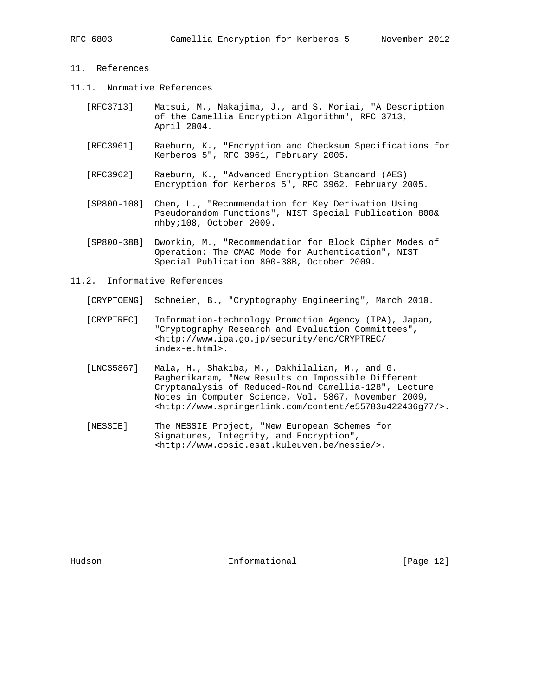# 11. References

- 11.1. Normative References
	- [RFC3713] Matsui, M., Nakajima, J., and S. Moriai, "A Description of the Camellia Encryption Algorithm", RFC 3713, April 2004.
	- [RFC3961] Raeburn, K., "Encryption and Checksum Specifications for Kerberos 5", RFC 3961, February 2005.
	- [RFC3962] Raeburn, K., "Advanced Encryption Standard (AES) Encryption for Kerberos 5", RFC 3962, February 2005.
	- [SP800-108] Chen, L., "Recommendation for Key Derivation Using Pseudorandom Functions", NIST Special Publication 800& nhby;108, October 2009.
	- [SP800-38B] Dworkin, M., "Recommendation for Block Cipher Modes of Operation: The CMAC Mode for Authentication", NIST Special Publication 800-38B, October 2009.
- 11.2. Informative References
	- [CRYPTOENG] Schneier, B., "Cryptography Engineering", March 2010.
	- [CRYPTREC] Information-technology Promotion Agency (IPA), Japan, "Cryptography Research and Evaluation Committees", <http://www.ipa.go.jp/security/enc/CRYPTREC/ index-e.html>.
	- [LNCS5867] Mala, H., Shakiba, M., Dakhilalian, M., and G. Bagherikaram, "New Results on Impossible Different Cryptanalysis of Reduced-Round Camellia-128", Lecture Notes in Computer Science, Vol. 5867, November 2009, <http://www.springerlink.com/content/e55783u422436g77/>.
	- [NESSIE] The NESSIE Project, "New European Schemes for Signatures, Integrity, and Encryption", <http://www.cosic.esat.kuleuven.be/nessie/>.

Hudson **Informational Informational** [Page 12]